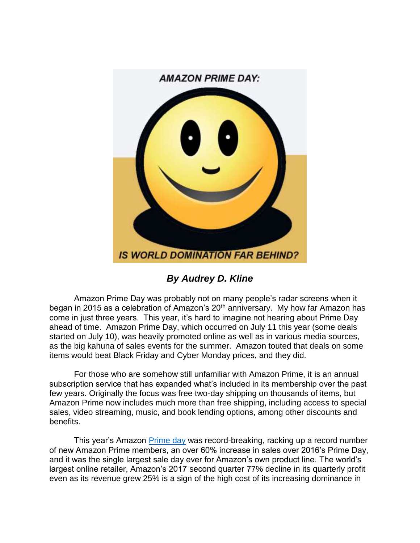

*By Audrey D. Kline*

Amazon Prime Day was probably not on many people's radar screens when it began in 2015 as a celebration of Amazon's 20<sup>th</sup> anniversary. My how far Amazon has come in just three years. This year, it's hard to imagine not hearing about Prime Day ahead of time. Amazon Prime Day, which occurred on July 11 this year (some deals started on July 10), was heavily promoted online as well as in various media sources, as the big kahuna of sales events for the summer. Amazon touted that deals on some items would beat Black Friday and Cyber Monday prices, and they did.

For those who are somehow still unfamiliar with Amazon Prime, it is an annual subscription service that has expanded what's included in its membership over the past few years. Originally the focus was free two-day shipping on thousands of items, but Amazon Prime now includes much more than free shipping, including access to special sales, video streaming, music, and book lending options, among other discounts and benefits.

This year's Amazon [Prime day](https://www.cnbc.com/2017/07/12/amazon-prime-day-breaks-record-event-grew-by-more-than-60-percent.html) was record-breaking, racking up a record number of new Amazon Prime members, an over 60% increase in sales over 2016's Prime Day, and it was the single largest sale day ever for Amazon's own product line. The world's largest online retailer, Amazon's 2017 second quarter 77% decline in its quarterly profit even as its revenue grew 25% is a sign of the high cost of its increasing dominance in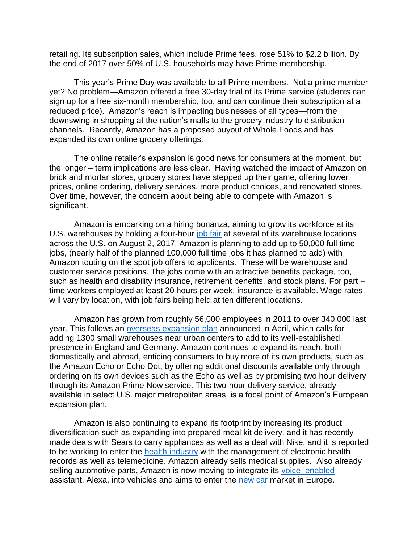retailing. Its subscription sales, which include Prime fees, rose 51% to \$2.2 billion. By the end of 2017 over 50% of U.S. households may have Prime membership.

This year's Prime Day was available to all Prime members. Not a prime member yet? No problem—Amazon offered a free 30-day trial of its Prime service (students can sign up for a free six-month membership, too, and can continue their subscription at a reduced price). Amazon's reach is impacting businesses of all types—from the downswing in shopping at the nation's malls to the grocery industry to distribution channels. Recently, Amazon has a proposed buyout of Whole Foods and has expanded its own online grocery offerings.

The online retailer's expansion is good news for consumers at the moment, but the longer – term implications are less clear. Having watched the impact of Amazon on brick and mortar stores, grocery stores have stepped up their game, offering lower prices, online ordering, delivery services, more product choices, and renovated stores. Over time, however, the concern about being able to compete with Amazon is significant.

Amazon is embarking on a hiring bonanza, aiming to grow its workforce at its U.S. warehouses by holding a four-hour [job fair](http://www.money.cnn.com/2017/07/26/technology/business/amazon-jobs-fair/index.html) at several of its warehouse locations across the U.S. on August 2, 2017. Amazon is planning to add up to 50,000 full time jobs, (nearly half of the planned 100,000 full time jobs it has planned to add) with Amazon touting on the spot job offers to applicants. These will be warehouse and customer service positions. The jobs come with an attractive benefits package, too, such as health and disability insurance, retirement benefits, and stock plans. For part time workers employed at least 20 hours per week, insurance is available. Wage rates will vary by location, with job fairs being held at ten different locations.

Amazon has grown from roughly 56,000 employees in 2011 to over 340,000 last year. This follows an [overseas expansion plan](http://www.businessinsider.com/amazon-looking-to-grow-prime-now-in-europe-2017-4) announced in April, which calls for adding 1300 small warehouses near urban centers to add to its well-established presence in England and Germany. Amazon continues to expand its reach, both domestically and abroad, enticing consumers to buy more of its own products, such as the Amazon Echo or Echo Dot, by offering additional discounts available only through ordering on its own devices such as the Echo as well as by promising two hour delivery through its Amazon Prime Now service. This two-hour delivery service, already available in select U.S. major metropolitan areas, is a focal point of Amazon's European expansion plan.

Amazon is also continuing to expand its footprint by increasing its product diversification such as expanding into prepared meal kit delivery, and it has recently made deals with Sears to carry appliances as well as a deal with Nike, and it is reported to be working to enter the [health industry](https://www.cnbc.com/2017/07/26/amazon-1492-secret-health-tech-project.html) with the management of electronic health records as well as telemedicine. Amazon already sells medical supplies. Also already selling automotive parts, Amazon is now moving to integrate its [voice–enabled](http://www.autonews.com/article/20170624/MOBILITY/170629883/amazon-alexa-auto-industry) assistant, Alexa, into vehicles and aims to enter the [new car](http://www.autonews.com/article/20170612/RETAIL03/170619922/amazon-plans-to-sell-cars-in-europe) market in Europe.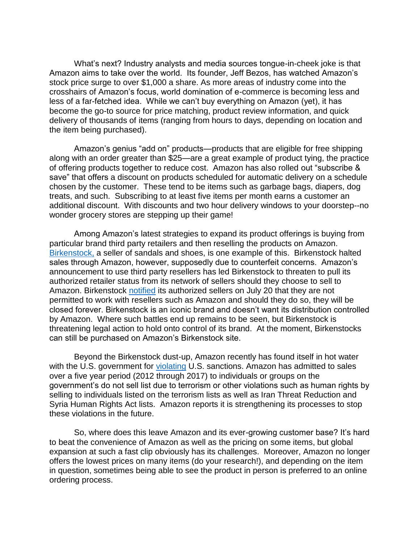What's next? Industry analysts and media sources tongue-in-cheek joke is that Amazon aims to take over the world. Its founder, Jeff Bezos, has watched Amazon's stock price surge to over \$1,000 a share. As more areas of industry come into the crosshairs of Amazon's focus, world domination of e-commerce is becoming less and less of a far-fetched idea. While we can't buy everything on Amazon (yet), it has become the go-to source for price matching, product review information, and quick delivery of thousands of items (ranging from hours to days, depending on location and the item being purchased).

Amazon's genius "add on" products—products that are eligible for free shipping along with an order greater than \$25—are a great example of product tying, the practice of offering products together to reduce cost. Amazon has also rolled out "subscribe & save" that offers a discount on products scheduled for automatic delivery on a schedule chosen by the customer. These tend to be items such as garbage bags, diapers, dog treats, and such. Subscribing to at least five items per month earns a customer an additional discount. With discounts and two hour delivery windows to your doorstep--no wonder grocery stores are stepping up their game!

Among Amazon's latest strategies to expand its product offerings is buying from particular brand third party retailers and then reselling the products on Amazon. [Birkenstock,](https://www.cnbc.com/2017/07/26/birkenstock-ceo-slams-amazon-new-inventory-buying-program.html?recirc=taboolainternal) a seller of sandals and shoes, is one example of this. Birkenstock halted sales through Amazon, however, supposedly due to counterfeit concerns. Amazon's announcement to use third party resellers has led Birkenstock to threaten to pull its authorized retailer status from its network of sellers should they choose to sell to Amazon. Birkenstock [notified](https://www.washingtonpost.com/news/business/wp-content/uploads/sites/8/2017/07/Amazon-retailer-letter-7.20.17.pdf) its authorized sellers on July 20 that they are not permitted to work with resellers such as Amazon and should they do so, they will be closed forever. Birkenstock is an iconic brand and doesn't want its distribution controlled by Amazon. Where such battles end up remains to be seen, but Birkenstock is threatening legal action to hold onto control of its brand. At the moment, Birkenstocks can still be purchased on Amazon's Birkenstock site.

Beyond the Birkenstock dust-up, Amazon recently has found itself in hot water with the U.S. government for [violating](http://www.siliconbeat.com/2017/07/28/amazon-under-federal-investigation-over-iran-linked-sales-including-to-person-on-anti-terror-list/?doing_wp_cron=1501390987.7681069374084472656250) U.S. sanctions. Amazon has admitted to sales over a five year period (2012 through 2017) to individuals or groups on the government's do not sell list due to terrorism or other violations such as human rights by selling to individuals listed on the terrorism lists as well as Iran Threat Reduction and Syria Human Rights Act lists. Amazon reports it is strengthening its processes to stop these violations in the future.

So, where does this leave Amazon and its ever-growing customer base? It's hard to beat the convenience of Amazon as well as the pricing on some items, but global expansion at such a fast clip obviously has its challenges. Moreover, Amazon no longer offers the lowest prices on many items (do your research!), and depending on the item in question, sometimes being able to see the product in person is preferred to an online ordering process.